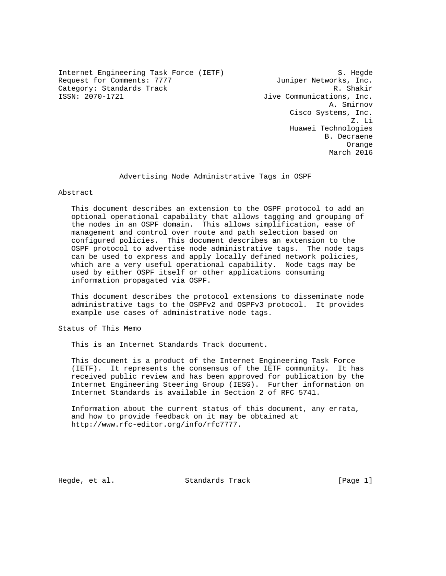Internet Engineering Task Force (IETF) S. Hegde Request for Comments: 7777 Juniper Networks, Inc. Category: Standards Track R. Shakir<br>ISSN: 2070-1721 R. Shakir<br>Jive Communications, Inc.

Jive Communications, Inc. A. Smirnov Cisco Systems, Inc. Z. Li Huawei Technologies B. Decraene Orange March 2016

### Advertising Node Administrative Tags in OSPF

Abstract

 This document describes an extension to the OSPF protocol to add an optional operational capability that allows tagging and grouping of the nodes in an OSPF domain. This allows simplification, ease of management and control over route and path selection based on configured policies. This document describes an extension to the OSPF protocol to advertise node administrative tags. The node tags can be used to express and apply locally defined network policies, which are a very useful operational capability. Node tags may be used by either OSPF itself or other applications consuming information propagated via OSPF.

 This document describes the protocol extensions to disseminate node administrative tags to the OSPFv2 and OSPFv3 protocol. It provides example use cases of administrative node tags.

Status of This Memo

This is an Internet Standards Track document.

 This document is a product of the Internet Engineering Task Force (IETF). It represents the consensus of the IETF community. It has received public review and has been approved for publication by the Internet Engineering Steering Group (IESG). Further information on Internet Standards is available in Section 2 of RFC 5741.

 Information about the current status of this document, any errata, and how to provide feedback on it may be obtained at http://www.rfc-editor.org/info/rfc7777.

Hegde, et al. Standards Track [Page 1]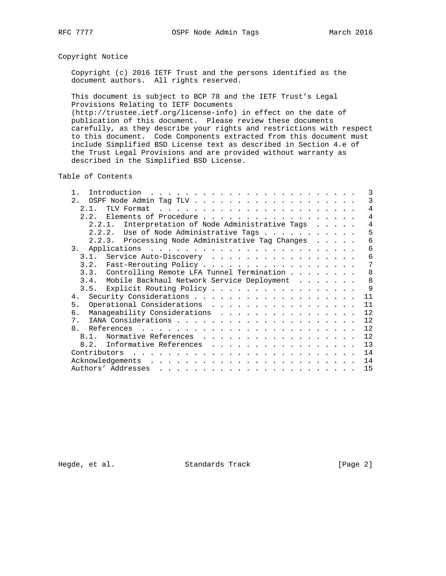## Copyright Notice

 Copyright (c) 2016 IETF Trust and the persons identified as the document authors. All rights reserved.

 This document is subject to BCP 78 and the IETF Trust's Legal Provisions Relating to IETF Documents (http://trustee.ietf.org/license-info) in effect on the date of

 publication of this document. Please review these documents carefully, as they describe your rights and restrictions with respect to this document. Code Components extracted from this document must include Simplified BSD License text as described in Section 4.e of the Trust Legal Provisions and are provided without warranty as described in the Simplified BSD License.

Table of Contents

| Introduction                                                                                                                                                                                                                                                                                                                                                                                                                                                                                              | 3  |
|-----------------------------------------------------------------------------------------------------------------------------------------------------------------------------------------------------------------------------------------------------------------------------------------------------------------------------------------------------------------------------------------------------------------------------------------------------------------------------------------------------------|----|
| 2.                                                                                                                                                                                                                                                                                                                                                                                                                                                                                                        | 3  |
| 2.1.                                                                                                                                                                                                                                                                                                                                                                                                                                                                                                      | 4  |
| 2.2. Elements of Procedure                                                                                                                                                                                                                                                                                                                                                                                                                                                                                | 4  |
| 2.2.1. Interpretation of Node Administrative Tags                                                                                                                                                                                                                                                                                                                                                                                                                                                         | 4  |
| 2.2.2. Use of Node Administrative Tags                                                                                                                                                                                                                                                                                                                                                                                                                                                                    | 5  |
| 2.2.3. Processing Node Administrative Tag Changes                                                                                                                                                                                                                                                                                                                                                                                                                                                         | 6  |
| Applications<br>3.<br>and the company of the company of the company of the company of the company of the company of the company of the company of the company of the company of the company of the company of the company of the company of the comp                                                                                                                                                                                                                                                      | 6  |
| 3.1. Service Auto-Discovery                                                                                                                                                                                                                                                                                                                                                                                                                                                                               | 6  |
| 3.2. Fast-Rerouting Policy                                                                                                                                                                                                                                                                                                                                                                                                                                                                                | 7  |
| 3.3. Controlling Remote LFA Tunnel Termination                                                                                                                                                                                                                                                                                                                                                                                                                                                            | 8  |
| Mobile Backhaul Network Service Deployment<br>3.4.                                                                                                                                                                                                                                                                                                                                                                                                                                                        | 8  |
| 3.5. Explicit Routing Policy                                                                                                                                                                                                                                                                                                                                                                                                                                                                              | 9  |
| 4 <sub>1</sub>                                                                                                                                                                                                                                                                                                                                                                                                                                                                                            | 11 |
| Operational Considerations<br>5.                                                                                                                                                                                                                                                                                                                                                                                                                                                                          | 11 |
| Manaqeability Considerations<br>б.                                                                                                                                                                                                                                                                                                                                                                                                                                                                        | 12 |
| 7.                                                                                                                                                                                                                                                                                                                                                                                                                                                                                                        | 12 |
| 8.                                                                                                                                                                                                                                                                                                                                                                                                                                                                                                        | 12 |
| Normative References<br>8 1                                                                                                                                                                                                                                                                                                                                                                                                                                                                               | 12 |
| Informative References<br>8.2.<br>.                                                                                                                                                                                                                                                                                                                                                                                                                                                                       | 13 |
| Contributors                                                                                                                                                                                                                                                                                                                                                                                                                                                                                              | 14 |
| Acknowledgements<br>$\mathbf{1} \quad \mathbf{1} \quad \mathbf{2} \quad \mathbf{3} \quad \mathbf{4} \quad \mathbf{5} \quad \mathbf{6} \quad \mathbf{7} \quad \mathbf{8} \quad \mathbf{9} \quad \mathbf{1} \quad \mathbf{1} \quad \mathbf{1} \quad \mathbf{1} \quad \mathbf{1} \quad \mathbf{1} \quad \mathbf{1} \quad \mathbf{1} \quad \mathbf{1} \quad \mathbf{1} \quad \mathbf{1} \quad \mathbf{1} \quad \mathbf{1} \quad \mathbf{1} \quad \mathbf{1} \quad \mathbf{1} \quad \mathbf{1} \quad \mathbf{$ | 14 |
| Authors' Addresses<br>and a series and a series are a series and a series and a series as                                                                                                                                                                                                                                                                                                                                                                                                                 | 15 |

Hegde, et al. Standards Track [Page 2]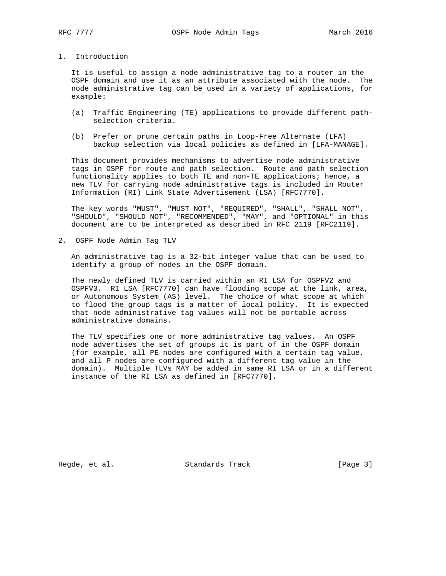## 1. Introduction

 It is useful to assign a node administrative tag to a router in the OSPF domain and use it as an attribute associated with the node. The node administrative tag can be used in a variety of applications, for example:

- (a) Traffic Engineering (TE) applications to provide different path selection criteria.
- (b) Prefer or prune certain paths in Loop-Free Alternate (LFA) backup selection via local policies as defined in [LFA-MANAGE].

 This document provides mechanisms to advertise node administrative tags in OSPF for route and path selection. Route and path selection functionality applies to both TE and non-TE applications; hence, a new TLV for carrying node administrative tags is included in Router Information (RI) Link State Advertisement (LSA) [RFC7770].

 The key words "MUST", "MUST NOT", "REQUIRED", "SHALL", "SHALL NOT", "SHOULD", "SHOULD NOT", "RECOMMENDED", "MAY", and "OPTIONAL" in this document are to be interpreted as described in RFC 2119 [RFC2119].

2. OSPF Node Admin Tag TLV

 An administrative tag is a 32-bit integer value that can be used to identify a group of nodes in the OSPF domain.

 The newly defined TLV is carried within an RI LSA for OSPFV2 and OSPFV3. RI LSA [RFC7770] can have flooding scope at the link, area, or Autonomous System (AS) level. The choice of what scope at which to flood the group tags is a matter of local policy. It is expected that node administrative tag values will not be portable across administrative domains.

 The TLV specifies one or more administrative tag values. An OSPF node advertises the set of groups it is part of in the OSPF domain (for example, all PE nodes are configured with a certain tag value, and all P nodes are configured with a different tag value in the domain). Multiple TLVs MAY be added in same RI LSA or in a different instance of the RI LSA as defined in [RFC7770].

Hegde, et al. Standards Track [Page 3]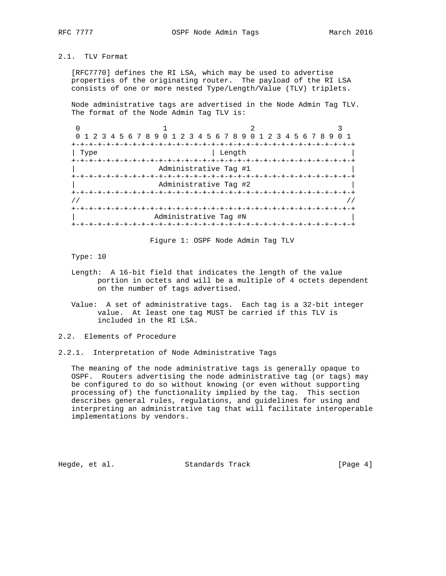# 2.1. TLV Format

 [RFC7770] defines the RI LSA, which may be used to advertise properties of the originating router. The payload of the RI LSA consists of one or more nested Type/Length/Value (TLV) triplets.

 Node administrative tags are advertised in the Node Admin Tag TLV. The format of the Node Admin Tag TLV is:

|                       | 0 1 2 3 4 5 6 7 8 9 0 1 2 3 4 5 6 7 8 9 0 1 2 3 4 5 6 7 8 9 |                  |  |  |  |  |
|-----------------------|-------------------------------------------------------------|------------------|--|--|--|--|
|                       |                                                             | -+-+-+-+-+-+-    |  |  |  |  |
| Type                  |                                                             | Length           |  |  |  |  |
|                       |                                                             |                  |  |  |  |  |
| Administrative Tag #1 |                                                             |                  |  |  |  |  |
|                       |                                                             | -+-+-+-+-+-+-+-+ |  |  |  |  |
|                       | Administrative Tag #2                                       |                  |  |  |  |  |
|                       |                                                             |                  |  |  |  |  |
|                       |                                                             |                  |  |  |  |  |
|                       |                                                             |                  |  |  |  |  |
|                       | Administrative Tag #N                                       |                  |  |  |  |  |
|                       | +-+-+-+-+-+-+-+-+-+-+-+-+-+-                                |                  |  |  |  |  |

Figure 1: OSPF Node Admin Tag TLV

Type: 10

- Length: A 16-bit field that indicates the length of the value portion in octets and will be a multiple of 4 octets dependent on the number of tags advertised.
- Value: A set of administrative tags. Each tag is a 32-bit integer value. At least one tag MUST be carried if this TLV is included in the RI LSA.

2.2. Elements of Procedure

2.2.1. Interpretation of Node Administrative Tags

 The meaning of the node administrative tags is generally opaque to OSPF. Routers advertising the node administrative tag (or tags) may be configured to do so without knowing (or even without supporting processing of) the functionality implied by the tag. This section describes general rules, regulations, and guidelines for using and interpreting an administrative tag that will facilitate interoperable implementations by vendors.

Hegde, et al. Standards Track [Page 4]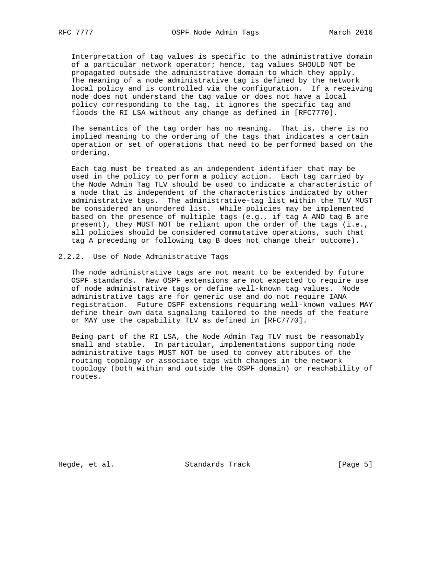Interpretation of tag values is specific to the administrative domain of a particular network operator; hence, tag values SHOULD NOT be propagated outside the administrative domain to which they apply. The meaning of a node administrative tag is defined by the network local policy and is controlled via the configuration. If a receiving node does not understand the tag value or does not have a local policy corresponding to the tag, it ignores the specific tag and floods the RI LSA without any change as defined in [RFC7770].

 The semantics of the tag order has no meaning. That is, there is no implied meaning to the ordering of the tags that indicates a certain operation or set of operations that need to be performed based on the ordering.

 Each tag must be treated as an independent identifier that may be used in the policy to perform a policy action. Each tag carried by the Node Admin Tag TLV should be used to indicate a characteristic of a node that is independent of the characteristics indicated by other administrative tags. The administrative-tag list within the TLV MUST be considered an unordered list. While policies may be implemented based on the presence of multiple tags (e.g., if tag A AND tag B are present), they MUST NOT be reliant upon the order of the tags (i.e., all policies should be considered commutative operations, such that tag A preceding or following tag B does not change their outcome).

#### 2.2.2. Use of Node Administrative Tags

 The node administrative tags are not meant to be extended by future OSPF standards. New OSPF extensions are not expected to require use of node administrative tags or define well-known tag values. Node administrative tags are for generic use and do not require IANA registration. Future OSPF extensions requiring well-known values MAY define their own data signaling tailored to the needs of the feature or MAY use the capability TLV as defined in [RFC7770].

 Being part of the RI LSA, the Node Admin Tag TLV must be reasonably small and stable. In particular, implementations supporting node administrative tags MUST NOT be used to convey attributes of the routing topology or associate tags with changes in the network topology (both within and outside the OSPF domain) or reachability of routes.

Hegde, et al. Standards Track [Page 5]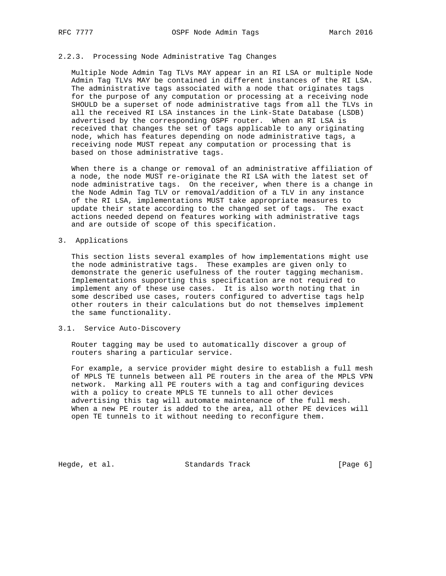### 2.2.3. Processing Node Administrative Tag Changes

 Multiple Node Admin Tag TLVs MAY appear in an RI LSA or multiple Node Admin Tag TLVs MAY be contained in different instances of the RI LSA. The administrative tags associated with a node that originates tags for the purpose of any computation or processing at a receiving node SHOULD be a superset of node administrative tags from all the TLVs in all the received RI LSA instances in the Link-State Database (LSDB) advertised by the corresponding OSPF router. When an RI LSA is received that changes the set of tags applicable to any originating node, which has features depending on node administrative tags, a receiving node MUST repeat any computation or processing that is based on those administrative tags.

 When there is a change or removal of an administrative affiliation of a node, the node MUST re-originate the RI LSA with the latest set of node administrative tags. On the receiver, when there is a change in the Node Admin Tag TLV or removal/addition of a TLV in any instance of the RI LSA, implementations MUST take appropriate measures to update their state according to the changed set of tags. The exact actions needed depend on features working with administrative tags and are outside of scope of this specification.

#### 3. Applications

 This section lists several examples of how implementations might use the node administrative tags. These examples are given only to demonstrate the generic usefulness of the router tagging mechanism. Implementations supporting this specification are not required to implement any of these use cases. It is also worth noting that in some described use cases, routers configured to advertise tags help other routers in their calculations but do not themselves implement the same functionality.

### 3.1. Service Auto-Discovery

 Router tagging may be used to automatically discover a group of routers sharing a particular service.

 For example, a service provider might desire to establish a full mesh of MPLS TE tunnels between all PE routers in the area of the MPLS VPN network. Marking all PE routers with a tag and configuring devices with a policy to create MPLS TE tunnels to all other devices advertising this tag will automate maintenance of the full mesh. When a new PE router is added to the area, all other PE devices will open TE tunnels to it without needing to reconfigure them.

Hegde, et al. Standards Track [Page 6]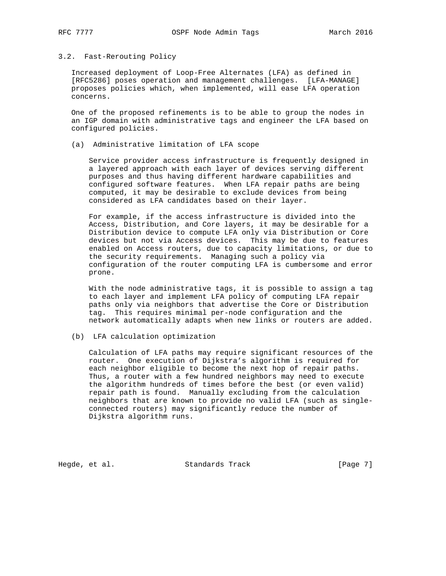### 3.2. Fast-Rerouting Policy

 Increased deployment of Loop-Free Alternates (LFA) as defined in [RFC5286] poses operation and management challenges. [LFA-MANAGE] proposes policies which, when implemented, will ease LFA operation concerns.

 One of the proposed refinements is to be able to group the nodes in an IGP domain with administrative tags and engineer the LFA based on configured policies.

(a) Administrative limitation of LFA scope

 Service provider access infrastructure is frequently designed in a layered approach with each layer of devices serving different purposes and thus having different hardware capabilities and configured software features. When LFA repair paths are being computed, it may be desirable to exclude devices from being considered as LFA candidates based on their layer.

 For example, if the access infrastructure is divided into the Access, Distribution, and Core layers, it may be desirable for a Distribution device to compute LFA only via Distribution or Core devices but not via Access devices. This may be due to features enabled on Access routers, due to capacity limitations, or due to the security requirements. Managing such a policy via configuration of the router computing LFA is cumbersome and error prone.

 With the node administrative tags, it is possible to assign a tag to each layer and implement LFA policy of computing LFA repair paths only via neighbors that advertise the Core or Distribution tag. This requires minimal per-node configuration and the network automatically adapts when new links or routers are added.

#### (b) LFA calculation optimization

 Calculation of LFA paths may require significant resources of the router. One execution of Dijkstra's algorithm is required for each neighbor eligible to become the next hop of repair paths. Thus, a router with a few hundred neighbors may need to execute the algorithm hundreds of times before the best (or even valid) repair path is found. Manually excluding from the calculation neighbors that are known to provide no valid LFA (such as single connected routers) may significantly reduce the number of Dijkstra algorithm runs.

Hegde, et al. Standards Track [Page 7]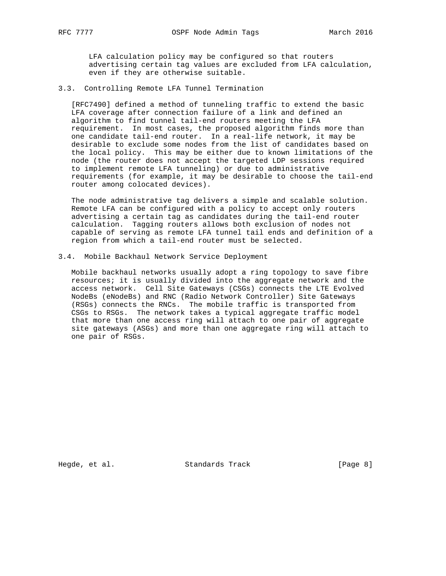LFA calculation policy may be configured so that routers advertising certain tag values are excluded from LFA calculation, even if they are otherwise suitable.

### 3.3. Controlling Remote LFA Tunnel Termination

 [RFC7490] defined a method of tunneling traffic to extend the basic LFA coverage after connection failure of a link and defined an algorithm to find tunnel tail-end routers meeting the LFA requirement. In most cases, the proposed algorithm finds more than one candidate tail-end router. In a real-life network, it may be desirable to exclude some nodes from the list of candidates based on the local policy. This may be either due to known limitations of the node (the router does not accept the targeted LDP sessions required to implement remote LFA tunneling) or due to administrative requirements (for example, it may be desirable to choose the tail-end router among colocated devices).

 The node administrative tag delivers a simple and scalable solution. Remote LFA can be configured with a policy to accept only routers advertising a certain tag as candidates during the tail-end router calculation. Tagging routers allows both exclusion of nodes not capable of serving as remote LFA tunnel tail ends and definition of a region from which a tail-end router must be selected.

#### 3.4. Mobile Backhaul Network Service Deployment

 Mobile backhaul networks usually adopt a ring topology to save fibre resources; it is usually divided into the aggregate network and the access network. Cell Site Gateways (CSGs) connects the LTE Evolved NodeBs (eNodeBs) and RNC (Radio Network Controller) Site Gateways (RSGs) connects the RNCs. The mobile traffic is transported from CSGs to RSGs. The network takes a typical aggregate traffic model that more than one access ring will attach to one pair of aggregate site gateways (ASGs) and more than one aggregate ring will attach to one pair of RSGs.

Hegde, et al. Standards Track [Page 8]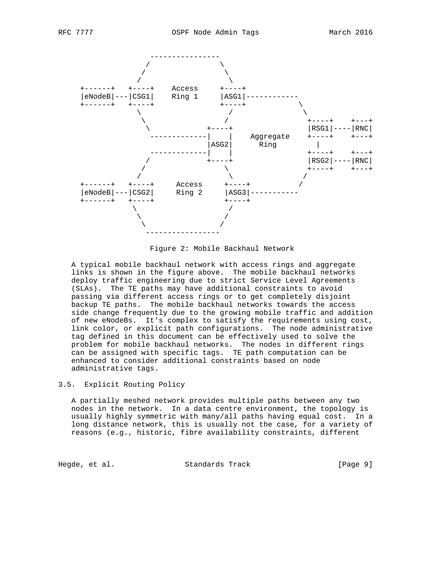

Figure 2: Mobile Backhaul Network

 A typical mobile backhaul network with access rings and aggregate links is shown in the figure above. The mobile backhaul networks deploy traffic engineering due to strict Service Level Agreements (SLAs). The TE paths may have additional constraints to avoid passing via different access rings or to get completely disjoint backup TE paths. The mobile backhaul networks towards the access side change frequently due to the growing mobile traffic and addition of new eNodeBs. It's complex to satisfy the requirements using cost, link color, or explicit path configurations. The node administrative tag defined in this document can be effectively used to solve the problem for mobile backhaul networks. The nodes in different rings can be assigned with specific tags. TE path computation can be enhanced to consider additional constraints based on node administrative tags.

## 3.5. Explicit Routing Policy

 A partially meshed network provides multiple paths between any two nodes in the network. In a data centre environment, the topology is usually highly symmetric with many/all paths having equal cost. In a long distance network, this is usually not the case, for a variety of reasons (e.g., historic, fibre availability constraints, different

Hegde, et al. Standards Track [Page 9]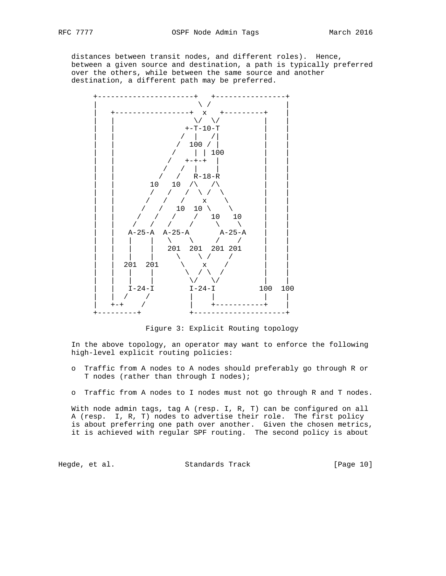distances between transit nodes, and different roles). Hence, between a given source and destination, a path is typically preferred over the others, while between the same source and another destination, a different path may be preferred.



Figure 3: Explicit Routing topology

 In the above topology, an operator may want to enforce the following high-level explicit routing policies:

- o Traffic from A nodes to A nodes should preferably go through R or T nodes (rather than through I nodes);
- o Traffic from A nodes to I nodes must not go through R and T nodes.

 With node admin tags, tag A (resp. I, R, T) can be configured on all A (resp. I, R, T) nodes to advertise their role. The first policy is about preferring one path over another. Given the chosen metrics, it is achieved with regular SPF routing. The second policy is about

Hegde, et al. Standards Track [Page 10]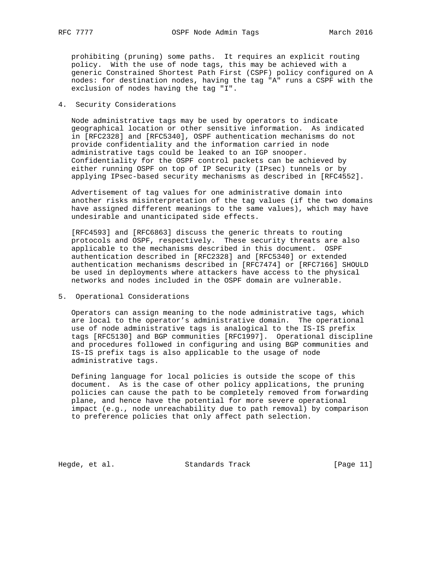prohibiting (pruning) some paths. It requires an explicit routing policy. With the use of node tags, this may be achieved with a generic Constrained Shortest Path First (CSPF) policy configured on A nodes: for destination nodes, having the tag "A" runs a CSPF with the exclusion of nodes having the tag "I".

### 4. Security Considerations

 Node administrative tags may be used by operators to indicate geographical location or other sensitive information. As indicated in [RFC2328] and [RFC5340], OSPF authentication mechanisms do not provide confidentiality and the information carried in node administrative tags could be leaked to an IGP snooper. Confidentiality for the OSPF control packets can be achieved by either running OSPF on top of IP Security (IPsec) tunnels or by applying IPsec-based security mechanisms as described in [RFC4552].

 Advertisement of tag values for one administrative domain into another risks misinterpretation of the tag values (if the two domains have assigned different meanings to the same values), which may have undesirable and unanticipated side effects.

 [RFC4593] and [RFC6863] discuss the generic threats to routing protocols and OSPF, respectively. These security threats are also applicable to the mechanisms described in this document. OSPF authentication described in [RFC2328] and [RFC5340] or extended authentication mechanisms described in [RFC7474] or [RFC7166] SHOULD be used in deployments where attackers have access to the physical networks and nodes included in the OSPF domain are vulnerable.

## 5. Operational Considerations

 Operators can assign meaning to the node administrative tags, which are local to the operator's administrative domain. The operational use of node administrative tags is analogical to the IS-IS prefix tags [RFC5130] and BGP communities [RFC1997]. Operational discipline and procedures followed in configuring and using BGP communities and IS-IS prefix tags is also applicable to the usage of node administrative tags.

 Defining language for local policies is outside the scope of this document. As is the case of other policy applications, the pruning policies can cause the path to be completely removed from forwarding plane, and hence have the potential for more severe operational impact (e.g., node unreachability due to path removal) by comparison to preference policies that only affect path selection.

Hegde, et al. Standards Track [Page 11]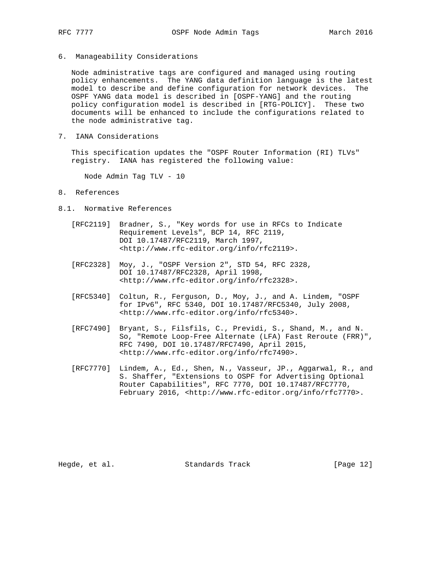6. Manageability Considerations

 Node administrative tags are configured and managed using routing policy enhancements. The YANG data definition language is the latest model to describe and define configuration for network devices. The OSPF YANG data model is described in [OSPF-YANG] and the routing policy configuration model is described in [RTG-POLICY]. These two documents will be enhanced to include the configurations related to the node administrative tag.

7. IANA Considerations

 This specification updates the "OSPF Router Information (RI) TLVs" registry. IANA has registered the following value:

Node Admin Tag TLV - 10

- 8. References
- 8.1. Normative References
	- [RFC2119] Bradner, S., "Key words for use in RFCs to Indicate Requirement Levels", BCP 14, RFC 2119, DOI 10.17487/RFC2119, March 1997, <http://www.rfc-editor.org/info/rfc2119>.
	- [RFC2328] Moy, J., "OSPF Version 2", STD 54, RFC 2328, DOI 10.17487/RFC2328, April 1998, <http://www.rfc-editor.org/info/rfc2328>.
	- [RFC5340] Coltun, R., Ferguson, D., Moy, J., and A. Lindem, "OSPF for IPv6", RFC 5340, DOI 10.17487/RFC5340, July 2008, <http://www.rfc-editor.org/info/rfc5340>.
	- [RFC7490] Bryant, S., Filsfils, C., Previdi, S., Shand, M., and N. So, "Remote Loop-Free Alternate (LFA) Fast Reroute (FRR)", RFC 7490, DOI 10.17487/RFC7490, April 2015, <http://www.rfc-editor.org/info/rfc7490>.
	- [RFC7770] Lindem, A., Ed., Shen, N., Vasseur, JP., Aggarwal, R., and S. Shaffer, "Extensions to OSPF for Advertising Optional Router Capabilities", RFC 7770, DOI 10.17487/RFC7770, February 2016, <http://www.rfc-editor.org/info/rfc7770>.

Hegde, et al. Standards Track [Page 12]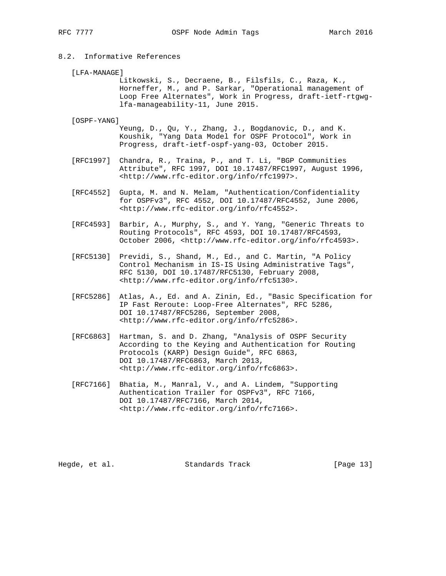## 8.2. Informative References

[LFA-MANAGE]

 Litkowski, S., Decraene, B., Filsfils, C., Raza, K., Horneffer, M., and P. Sarkar, "Operational management of Loop Free Alternates", Work in Progress, draft-ietf-rtgwg lfa-manageability-11, June 2015.

[OSPF-YANG]

 Yeung, D., Qu, Y., Zhang, J., Bogdanovic, D., and K. Koushik, "Yang Data Model for OSPF Protocol", Work in Progress, draft-ietf-ospf-yang-03, October 2015.

- [RFC1997] Chandra, R., Traina, P., and T. Li, "BGP Communities Attribute", RFC 1997, DOI 10.17487/RFC1997, August 1996, <http://www.rfc-editor.org/info/rfc1997>.
- [RFC4552] Gupta, M. and N. Melam, "Authentication/Confidentiality for OSPFv3", RFC 4552, DOI 10.17487/RFC4552, June 2006, <http://www.rfc-editor.org/info/rfc4552>.
- [RFC4593] Barbir, A., Murphy, S., and Y. Yang, "Generic Threats to Routing Protocols", RFC 4593, DOI 10.17487/RFC4593, October 2006, <http://www.rfc-editor.org/info/rfc4593>.
- [RFC5130] Previdi, S., Shand, M., Ed., and C. Martin, "A Policy Control Mechanism in IS-IS Using Administrative Tags", RFC 5130, DOI 10.17487/RFC5130, February 2008, <http://www.rfc-editor.org/info/rfc5130>.
- [RFC5286] Atlas, A., Ed. and A. Zinin, Ed., "Basic Specification for IP Fast Reroute: Loop-Free Alternates", RFC 5286, DOI 10.17487/RFC5286, September 2008, <http://www.rfc-editor.org/info/rfc5286>.
- [RFC6863] Hartman, S. and D. Zhang, "Analysis of OSPF Security According to the Keying and Authentication for Routing Protocols (KARP) Design Guide", RFC 6863, DOI 10.17487/RFC6863, March 2013, <http://www.rfc-editor.org/info/rfc6863>.
- [RFC7166] Bhatia, M., Manral, V., and A. Lindem, "Supporting Authentication Trailer for OSPFv3", RFC 7166, DOI 10.17487/RFC7166, March 2014, <http://www.rfc-editor.org/info/rfc7166>.

Hegde, et al. Standards Track [Page 13]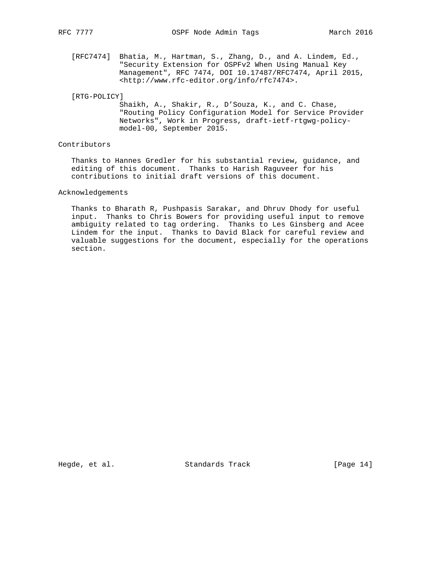[RFC7474] Bhatia, M., Hartman, S., Zhang, D., and A. Lindem, Ed., "Security Extension for OSPFv2 When Using Manual Key Management", RFC 7474, DOI 10.17487/RFC7474, April 2015, <http://www.rfc-editor.org/info/rfc7474>.

#### [RTG-POLICY]

 Shaikh, A., Shakir, R., D'Souza, K., and C. Chase, "Routing Policy Configuration Model for Service Provider Networks", Work in Progress, draft-ietf-rtgwg-policy model-00, September 2015.

## Contributors

 Thanks to Hannes Gredler for his substantial review, guidance, and editing of this document. Thanks to Harish Raguveer for his contributions to initial draft versions of this document.

Acknowledgements

 Thanks to Bharath R, Pushpasis Sarakar, and Dhruv Dhody for useful input. Thanks to Chris Bowers for providing useful input to remove ambiguity related to tag ordering. Thanks to Les Ginsberg and Acee Lindem for the input. Thanks to David Black for careful review and valuable suggestions for the document, especially for the operations section.

Hegde, et al. Standards Track [Page 14]